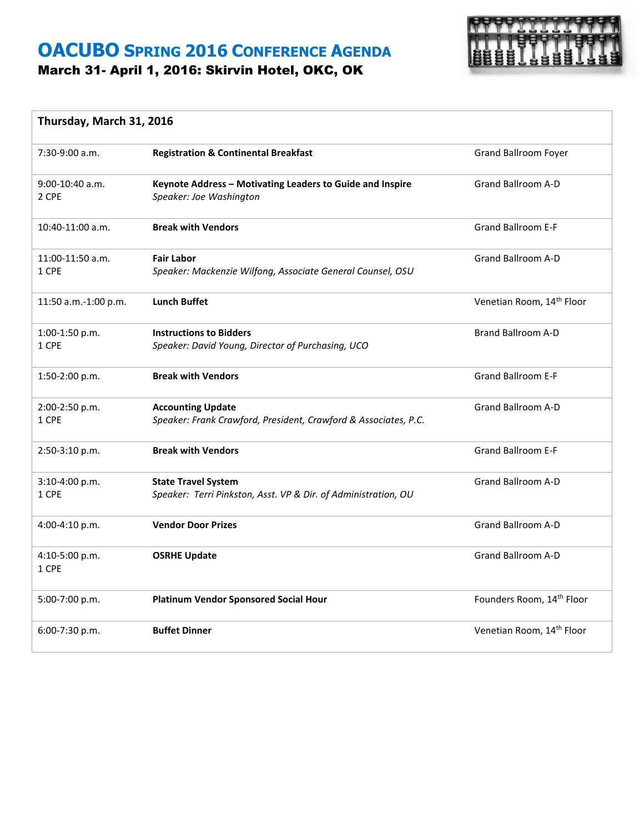### **OACUBO SPRING 2016 CONFERENCE AGENDA** March 31- April 1, 2016: Skirvin Hotel, OKC, OK



#### **Thursday, March 31, 2016**

| 7:30-9:00 a.m.             | <b>Registration &amp; Continental Breakfast</b>                                              | <b>Grand Ballroom Foyer</b>           |
|----------------------------|----------------------------------------------------------------------------------------------|---------------------------------------|
| $9:00-10:40$ a.m.<br>2 CPE | Keynote Address - Motivating Leaders to Guide and Inspire<br>Speaker: Joe Washington         | <b>Grand Ballroom A-D</b>             |
| 10:40-11:00 a.m.           | <b>Break with Vendors</b>                                                                    | <b>Grand Ballroom E-F</b>             |
| 11:00-11:50 a.m.<br>1 CPE  | <b>Fair Labor</b><br>Speaker: Mackenzie Wilfong, Associate General Counsel, OSU              | <b>Grand Ballroom A-D</b>             |
| 11:50 a.m.-1:00 p.m.       | <b>Lunch Buffet</b>                                                                          | Venetian Room, 14 <sup>th</sup> Floor |
| 1:00-1:50 p.m.<br>1 CPE    | <b>Instructions to Bidders</b><br>Speaker: David Young, Director of Purchasing, UCO          | <b>Brand Ballroom A-D</b>             |
| 1:50-2:00 p.m.             | <b>Break with Vendors</b>                                                                    | <b>Grand Ballroom E-F</b>             |
| 2:00-2:50 p.m.<br>1 CPE    | <b>Accounting Update</b><br>Speaker: Frank Crawford, President, Crawford & Associates, P.C.  | Grand Ballroom A-D                    |
| 2:50-3:10 p.m.             | <b>Break with Vendors</b>                                                                    | <b>Grand Ballroom E-F</b>             |
| 3:10-4:00 p.m.<br>1 CPE    | <b>State Travel System</b><br>Speaker: Terri Pinkston, Asst. VP & Dir. of Administration, OU | <b>Grand Ballroom A-D</b>             |
| 4:00-4:10 p.m.             | <b>Vendor Door Prizes</b>                                                                    | <b>Grand Ballroom A-D</b>             |
| 4:10-5:00 p.m.<br>1 CPE    | <b>OSRHE Update</b>                                                                          | <b>Grand Ballroom A-D</b>             |
| 5:00-7:00 p.m.             | <b>Platinum Vendor Sponsored Social Hour</b>                                                 | Founders Room, 14 <sup>th</sup> Floor |
| 6:00-7:30 p.m.             | <b>Buffet Dinner</b>                                                                         | Venetian Room, 14 <sup>th</sup> Floor |